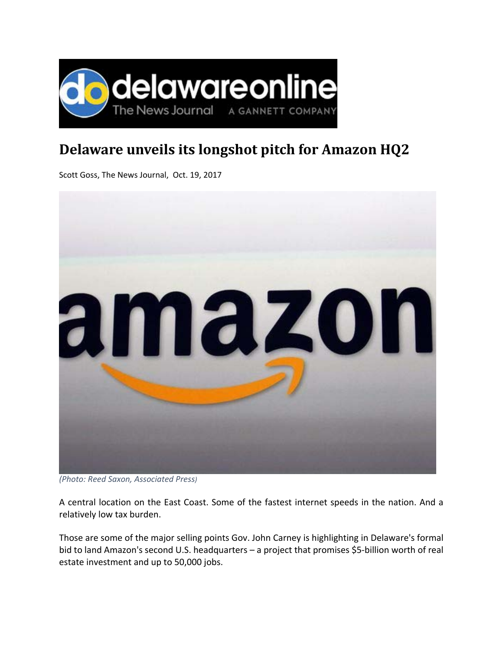

## **Delaware unveils its longshot pitch for Amazon HQ2**

Scott Goss, The News Journal, Oct. 19, 2017



*<sup>(</sup>Photo: Reed Saxon, Associated Press)*

A central location on the East Coast. Some of the fastest internet speeds in the nation. And a relatively low tax burden.

Those are some of the major selling points Gov. John Carney is highlighting in Delaware's formal bid to land Amazon's second U.S. headquarters – a project that promises \$5-billion worth of real estate investment and up to 50,000 jobs.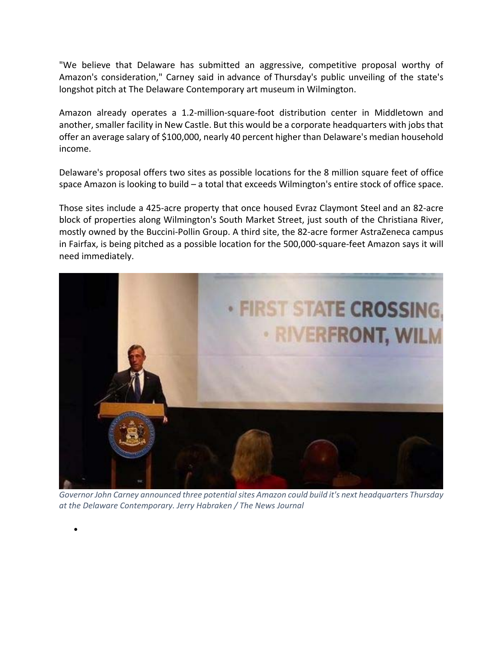"We believe that Delaware has submitted an aggressive, competitive proposal worthy of Amazon's consideration," Carney said in advance of Thursday's public unveiling of the state's longshot pitch at The Delaware Contemporary art museum in Wilmington.

Amazon already operates a 1.2‐million‐square‐foot distribution center in Middletown and another, smaller facility in New Castle. But this would be a corporate headquarters with jobs that offer an average salary of \$100,000, nearly 40 percent higher than Delaware's median household income.

Delaware's proposal offers two sites as possible locations for the 8 million square feet of office space Amazon is looking to build – a total that exceeds Wilmington's entire stock of office space.

Those sites include a 425‐acre property that once housed Evraz Claymont Steel and an 82‐acre block of properties along Wilmington's South Market Street, just south of the Christiana River, mostly owned by the Buccini‐Pollin Group. A third site, the 82‐acre former AstraZeneca campus in Fairfax, is being pitched as a possible location for the 500,000‐square‐feet Amazon says it will need immediately.



*Governor John Carney announced three potentialsites Amazon could build it's next headquarters Thursday at the Delaware Contemporary. Jerry Habraken / The News Journal*

 $\bullet$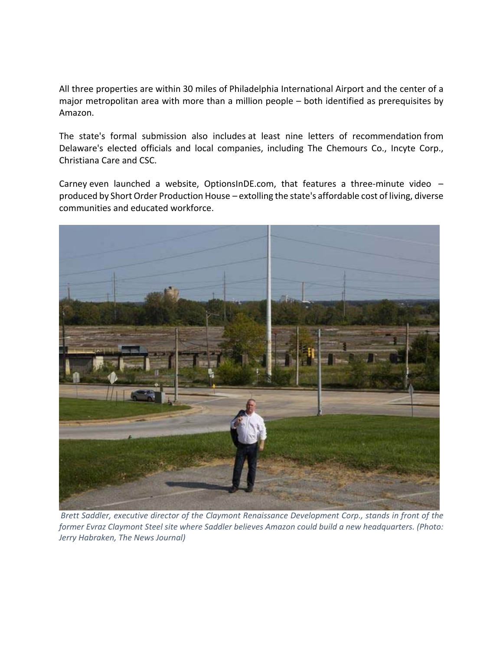All three properties are within 30 miles of Philadelphia International Airport and the center of a major metropolitan area with more than a million people – both identified as prerequisites by Amazon.

The state's formal submission also includes at least nine letters of recommendation from Delaware's elected officials and local companies, including The Chemours Co., Incyte Corp., Christiana Care and CSC.

Carney even launched a website, OptionsInDE.com, that features a three-minute video produced by Short Order Production House – extolling the state's affordable cost of living, diverse communities and educated workforce.



*Brett Saddler, executive director of the Claymont Renaissance Development Corp., stands in front of the former Evraz Claymont Steel site where Saddler believes Amazon could build a new headquarters. (Photo: Jerry Habraken, The News Journal)*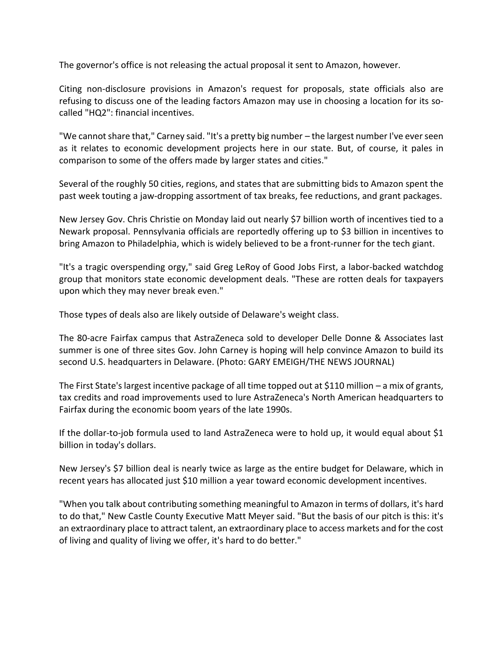The governor's office is not releasing the actual proposal it sent to Amazon, however.

Citing non‐disclosure provisions in Amazon's request for proposals, state officials also are refusing to discuss one of the leading factors Amazon may use in choosing a location for its socalled "HQ2": financial incentives.

"We cannot share that," Carney said. "It's a pretty big number - the largest number I've ever seen as it relates to economic development projects here in our state. But, of course, it pales in comparison to some of the offers made by larger states and cities."

Several of the roughly 50 cities, regions, and states that are submitting bids to Amazon spent the past week touting a jaw‐dropping assortment of tax breaks, fee reductions, and grant packages.

New Jersey Gov. Chris Christie on Monday laid out nearly \$7 billion worth of incentives tied to a Newark proposal. Pennsylvania officials are reportedly offering up to \$3 billion in incentives to bring Amazon to Philadelphia, which is widely believed to be a front-runner for the tech giant.

"It's a tragic overspending orgy," said Greg LeRoy of Good Jobs First, a labor‐backed watchdog group that monitors state economic development deals. "These are rotten deals for taxpayers upon which they may never break even."

Those types of deals also are likely outside of Delaware's weight class.

The 80‐acre Fairfax campus that AstraZeneca sold to developer Delle Donne & Associates last summer is one of three sites Gov. John Carney is hoping will help convince Amazon to build its second U.S. headquarters in Delaware. (Photo: GARY EMEIGH/THE NEWS JOURNAL)

The First State'slargest incentive package of all time topped out at \$110 million – a mix of grants, tax credits and road improvements used to lure AstraZeneca's North American headquarters to Fairfax during the economic boom years of the late 1990s.

If the dollar-to-job formula used to land AstraZeneca were to hold up, it would equal about \$1 billion in today's dollars.

New Jersey's \$7 billion deal is nearly twice as large as the entire budget for Delaware, which in recent years has allocated just \$10 million a year toward economic development incentives.

"When you talk about contributing something meaningful to Amazon in terms of dollars, it's hard to do that," New Castle County Executive Matt Meyer said. "But the basis of our pitch is this: it's an extraordinary place to attract talent, an extraordinary place to access markets and for the cost of living and quality of living we offer, it's hard to do better."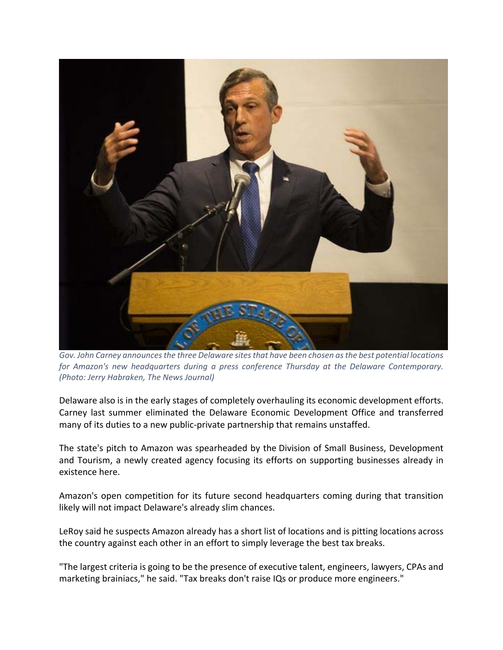

*Gov. John Carney announcesthe three Delaware sitesthat have been chosen asthe best potential locations for Amazon's new headquarters during a press conference Thursday at the Delaware Contemporary. (Photo: Jerry Habraken, The News Journal)*

Delaware also is in the early stages of completely overhauling its economic development efforts. Carney last summer eliminated the Delaware Economic Development Office and transferred many of its duties to a new public-private partnership that remains unstaffed.

The state's pitch to Amazon was spearheaded by the Division of Small Business, Development and Tourism, a newly created agency focusing its efforts on supporting businesses already in existence here.

Amazon's open competition for its future second headquarters coming during that transition likely will not impact Delaware's already slim chances.

LeRoy said he suspects Amazon already has a short list of locations and is pitting locations across the country against each other in an effort to simply leverage the best tax breaks.

"The largest criteria is going to be the presence of executive talent, engineers, lawyers, CPAs and marketing brainiacs," he said. "Tax breaks don't raise IQs or produce more engineers."